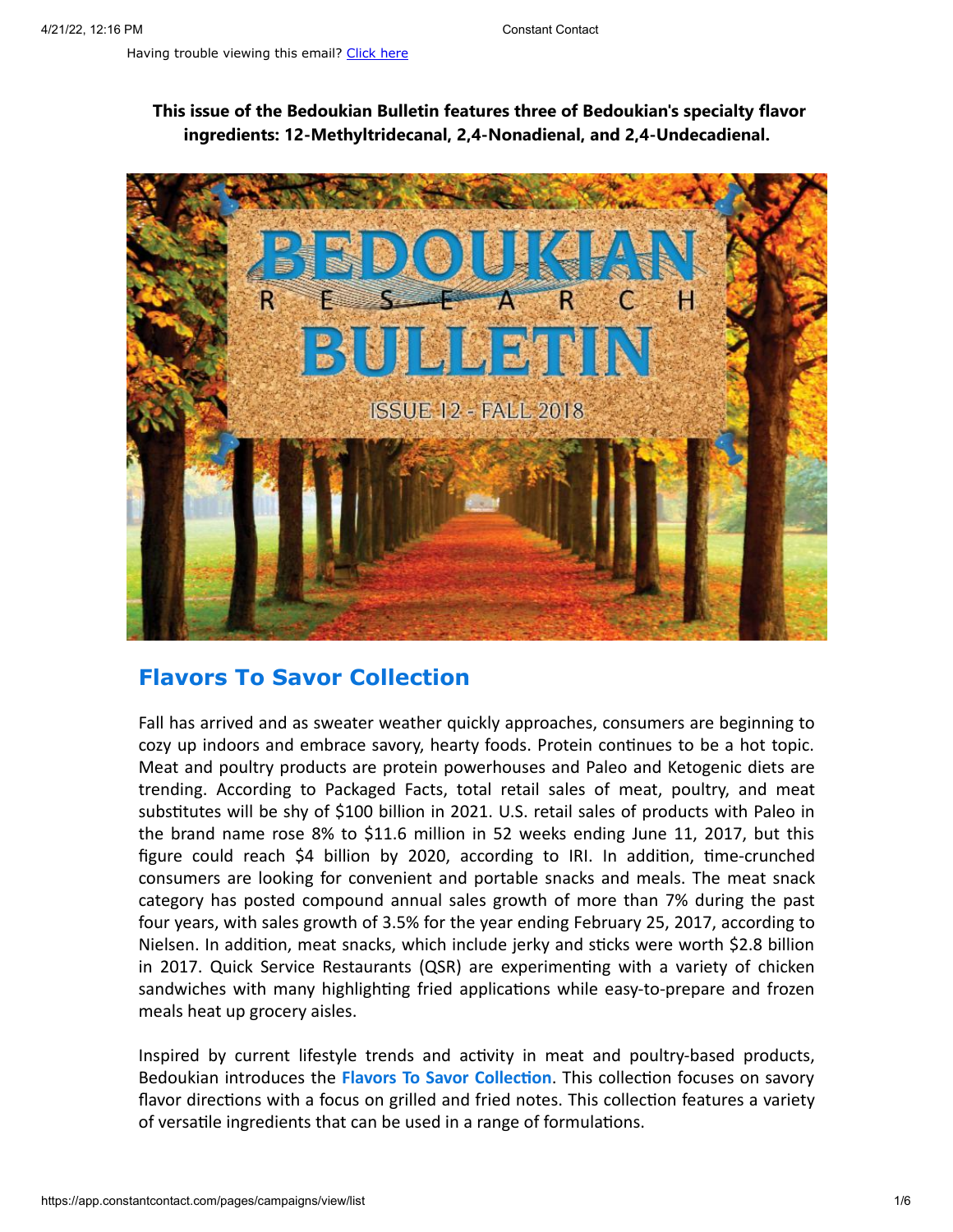**This issue of the Bedoukian Bulletin features three of Bedoukian's specialty flavor ingredients: 12-Methyltridecanal, 2,4-Nonadienal, and 2,4-Undecadienal.**



## **Flavors To Savor Collection**

Fall has arrived and as sweater weather quickly approaches, consumers are beginning to cozy up indoors and embrace savory, hearty foods. Protein continues to be a hot topic. Meat and poultry products are protein powerhouses and Paleo and Ketogenic diets are trending. According to Packaged Facts, total retail sales of meat, poultry, and meat substitutes will be shy of \$100 billion in 2021. U.S. retail sales of products with Paleo in the brand name rose 8% to \$11.6 million in 52 weeks ending June 11, 2017, but this figure could reach \$4 billion by 2020, according to IRI. In addition, time-crunched consumers are looking for convenient and portable snacks and meals. The meat snack category has posted compound annual sales growth of more than 7% during the past four years, with sales growth of 3.5% for the year ending February 25, 2017, according to Nielsen. In addition, meat snacks, which include jerky and sticks were worth \$2.8 billion in 2017. Quick Service Restaurants (QSR) are experimenting with a variety of chicken sandwiches with many highlighting fried applications while easy-to-prepare and frozen meals heat up grocery aisles.

Inspired by current lifestyle trends and activity in meat and poultry-based products, Bedoukian introduces the **Flavors To Savor Collection**. This collection focuses on savory flavor directions with a focus on grilled and fried notes. This collection features a variety of versatile ingredients that can be used in a range of formulations.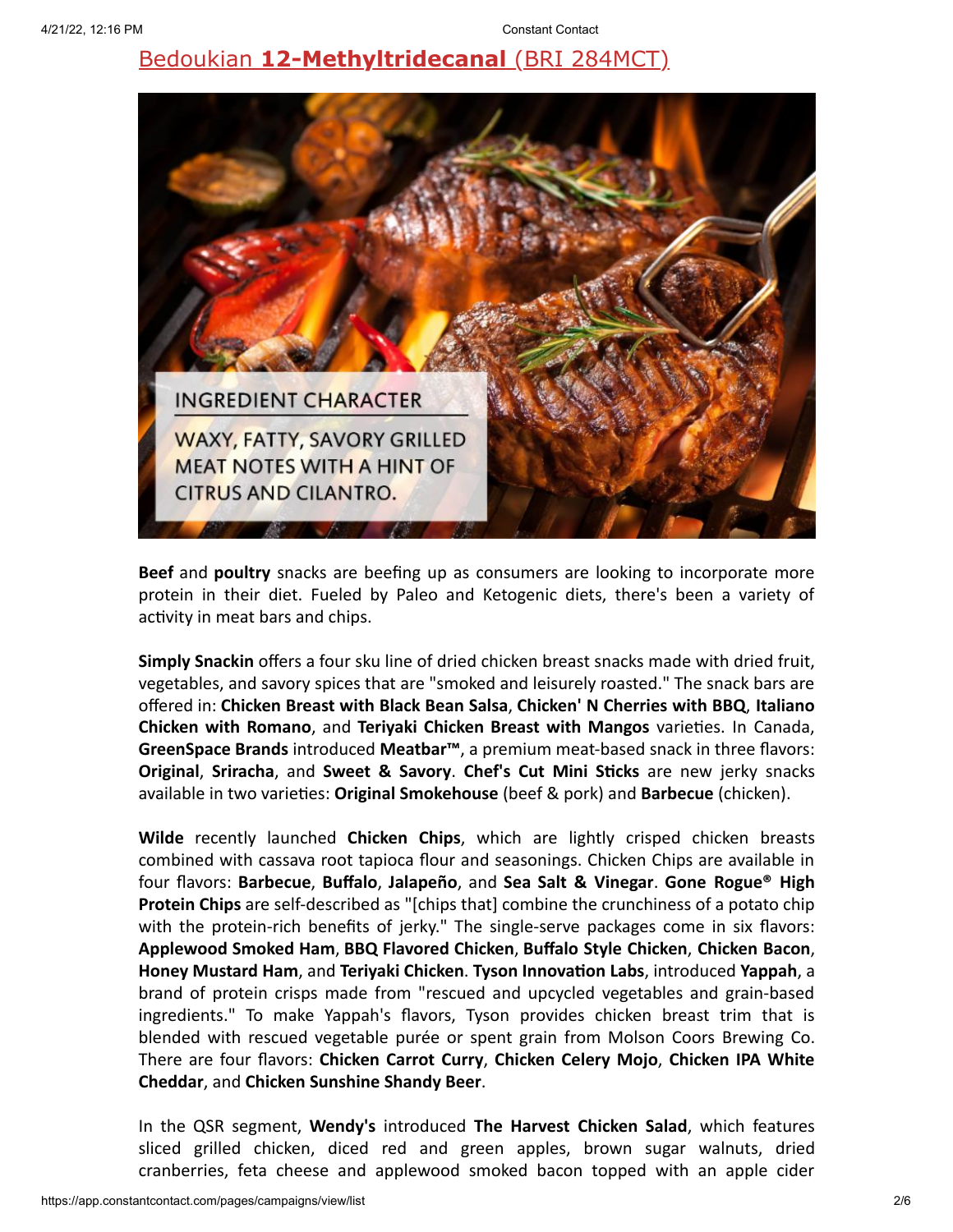# Bedoukian **[12-Methyltridecanal](https://search.bedoukian.com/flavorfragrance/ff_product.asp?method=POP&id=284MCT)** (BRI 284MCT)



**Beef** and **poultry** snacks are beefing up as consumers are looking to incorporate more protein in their diet. Fueled by Paleo and Ketogenic diets, there's been a variety of activity in meat bars and chips.

**Simply Snackin** offers a four sku line of dried chicken breast snacks made with dried fruit, vegetables, and savory spices that are "smoked and leisurely roasted." The snack bars are offered in: **Chicken Breast with Black Bean Salsa**, **Chicken' N Cherries with BBQ**, **Italiano Chicken with Romano**, and **Teriyaki Chicken Breast with Mangos** varieties. In Canada, **GreenSpace Brands** introduced **Meatbar™**, a premium meat-based snack in three flavors: **Original**, **Sriracha**, and **Sweet & Savory**. **Chef's Cut Mini Sticks** are new jerky snacks available in two varieties: **Original Smokehouse** (beef & pork) and **Barbecue** (chicken).

**Wilde** recently launched **Chicken Chips**, which are lightly crisped chicken breasts combined with cassava root tapioca flour and seasonings. Chicken Chips are available in four flavors: **Barbecue**, **Buffalo**, **Jalapeño**, and **Sea Salt & Vinegar**. **Gone Rogue® High Protein Chips** are self-described as "[chips that] combine the crunchiness of a potato chip with the protein-rich benefits of jerky." The single-serve packages come in six flavors: **Applewood Smoked Ham**, **BBQ Flavored Chicken**, **Buffalo Style Chicken**, **Chicken Bacon**, **Honey Mustard Ham**, and **Teriyaki Chicken**. **Tyson Innovation Labs**, introduced **Yappah**, a brand of protein crisps made from "rescued and upcycled vegetables and grain-based ingredients." To make Yappah's flavors, Tyson provides chicken breast trim that is blended with rescued vegetable purée or spent grain from Molson Coors Brewing Co. There are four flavors: **Chicken Carrot Curry**, **Chicken Celery Mojo**, **Chicken IPA White Cheddar**, and **Chicken Sunshine Shandy Beer**.

In the QSR segment, **Wendy's** introduced **The Harvest Chicken Salad**, which features sliced grilled chicken, diced red and green apples, brown sugar walnuts, dried cranberries, feta cheese and applewood smoked bacon topped with an apple cider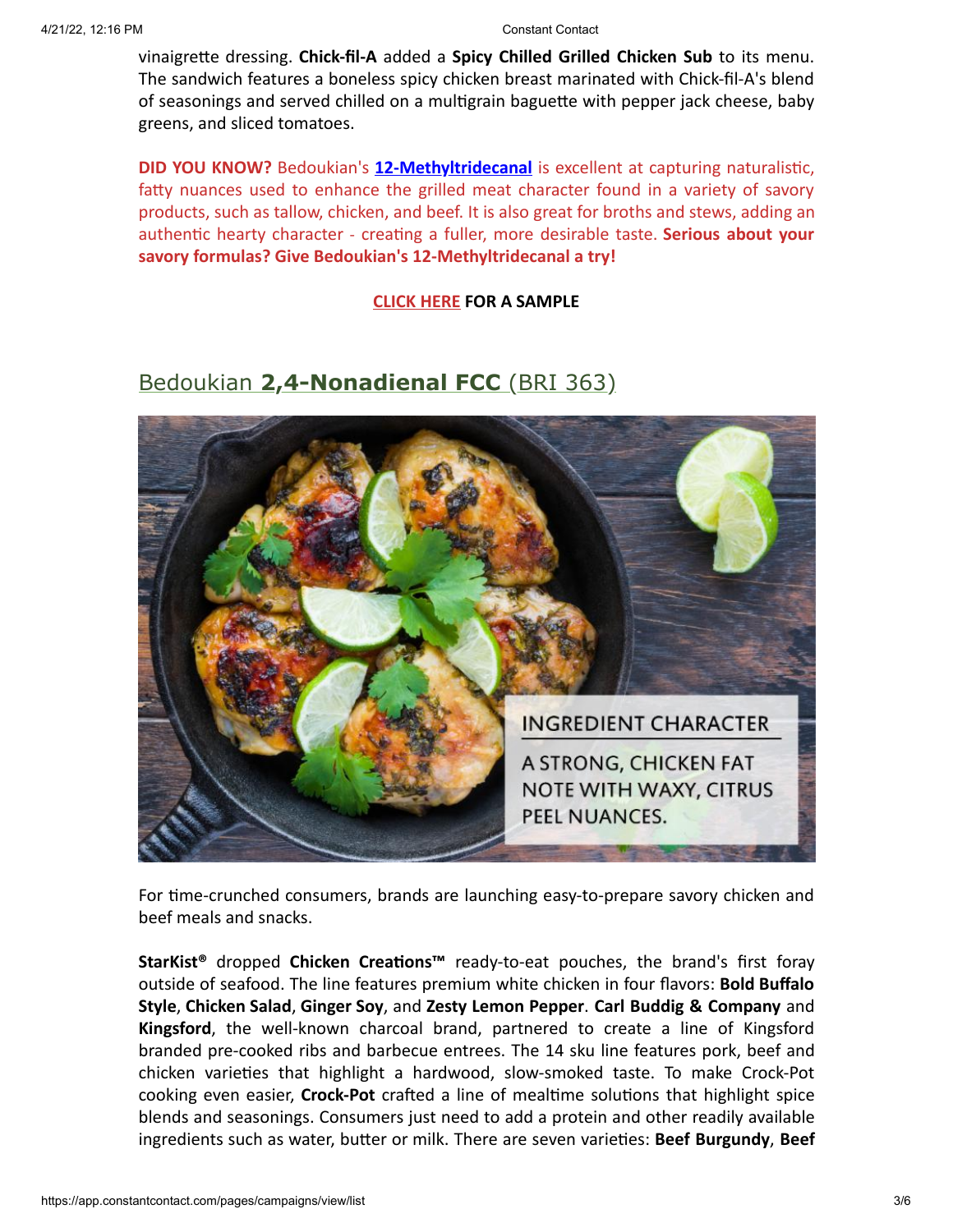vinaigrette dressing. **Chick-fil-A** added a **Spicy Chilled Grilled Chicken Sub** to its menu. The sandwich features a boneless spicy chicken breast marinated with Chick-fil-A's blend of seasonings and served chilled on a multigrain baguette with pepper jack cheese, baby greens, and sliced tomatoes.

**DID YOU KNOW?** Bedoukian's **[12-Methyltridecanal](https://search.bedoukian.com/flavorfragrance/ff_product.asp?method=POP&id=284MCT)** is excellent at capturing naturalistic, fatty nuances used to enhance the grilled meat character found in a variety of savory products, such as tallow, chicken, and beef. It is also great for broths and stews, adding an authentic hearty character - creating a fuller, more desirable taste. **Serious about your savory formulas? Give Bedoukian's 12-Methyltridecanal a try!**

**[CLICK HERE](mailto:customerservice@bedoukian.com?subject=Bedoukian%20Bulletin%20-%20Fall%202018&body=Hello%2C%0A%0AI%20would%20like%20to%20request%20free%20samples%20of%20each%20product%20advertised%20in%20the%20Fall%202018%20Bedoukian%20Bulletin!) FOR A SAMPLE**

## Bedoukian **[2,4-Nonadienal FCC](https://search.bedoukian.com/flavorfragrance/ff_product.asp?method=POP&id=363)** (BRI 363)



For time-crunched consumers, brands are launching easy-to-prepare savory chicken and beef meals and snacks.

**StarKist®** dropped **Chicken Creations™** ready-to-eat pouches, the brand's first foray outside of seafood. The line features premium white chicken in four flavors: **Bold Buffalo Style**, **Chicken Salad**, **Ginger Soy**, and **Zesty Lemon Pepper**. **Carl Buddig & Company** and **Kingsford**, the well-known charcoal brand, partnered to create a line of Kingsford branded pre-cooked ribs and barbecue entrees. The 14 sku line features pork, beef and chicken varieties that highlight a hardwood, slow-smoked taste. To make Crock-Pot cooking even easier, **Crock-Pot** crafted a line of mealtime solutions that highlight spice blends and seasonings. Consumers just need to add a protein and other readily available ingredients such as water, butter or milk. There are seven varieties: **Beef Burgundy**, **Beef**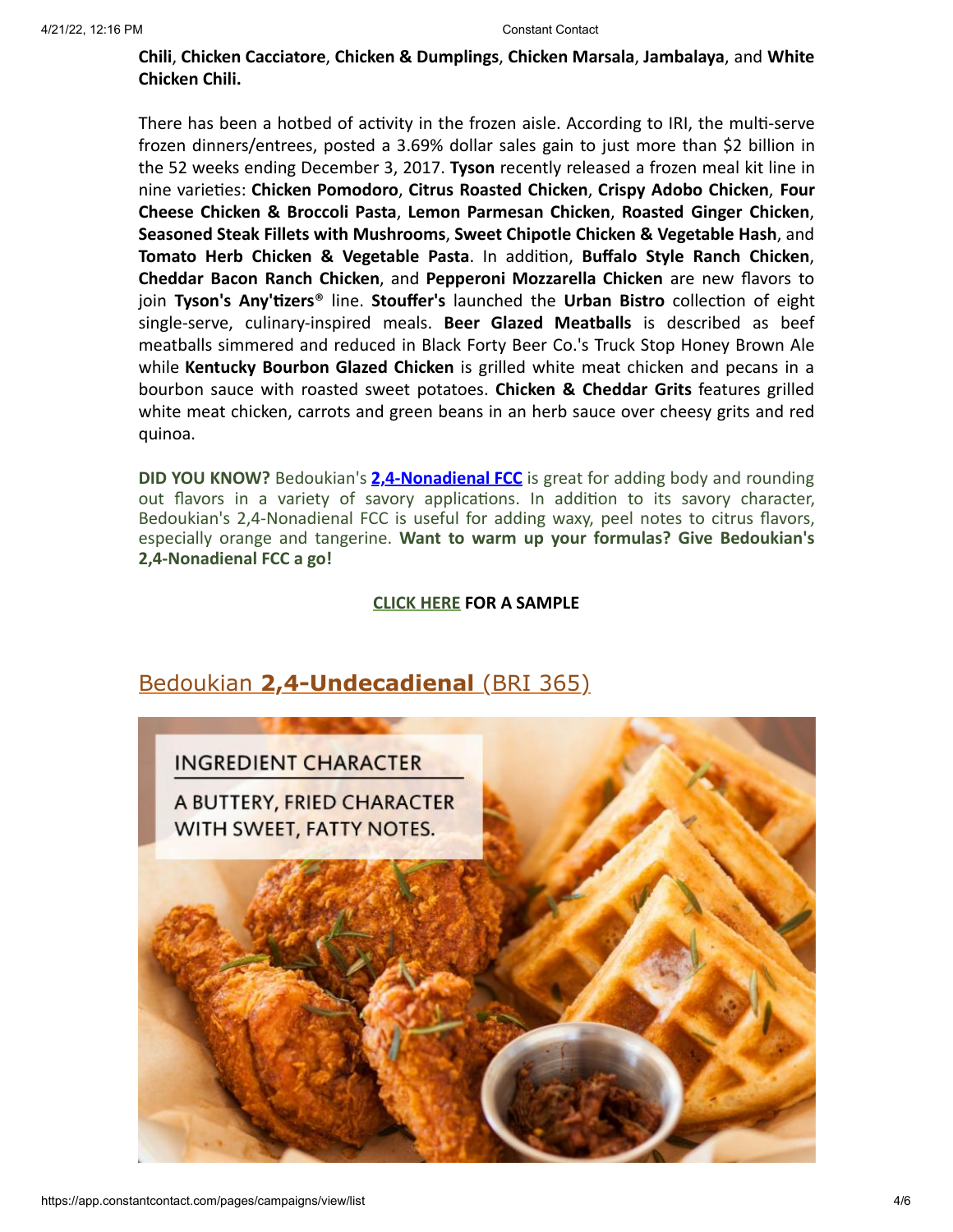## **Chili**, **Chicken Cacciatore**, **Chicken & Dumplings**, **Chicken Marsala**, **Jambalaya**, and **White Chicken Chili.**

There has been a hotbed of activity in the frozen aisle. According to IRI, the multi-serve frozen dinners/entrees, posted a 3.69% dollar sales gain to just more than \$2 billion in the 52 weeks ending December 3, 2017. **Tyson** recently released a frozen meal kit line in nine varieties: **Chicken Pomodoro**, **Citrus Roasted Chicken**, **Crispy Adobo Chicken**, **Four Cheese Chicken & Broccoli Pasta**, **Lemon Parmesan Chicken**, **Roasted Ginger Chicken**, **Seasoned Steak Fillets with Mushrooms**, **Sweet Chipotle Chicken & Vegetable Hash**, and **Tomato Herb Chicken & Vegetable Pasta**. In addition, **Buffalo Style Ranch Chicken**, **Cheddar Bacon Ranch Chicken**, and **Pepperoni Mozzarella Chicken** are new flavors to join **Tyson's Any'tizers**® line. **Stouffer's** launched the **Urban Bistro** collection of eight single-serve, culinary-inspired meals. **Beer Glazed Meatballs** is described as beef meatballs simmered and reduced in Black Forty Beer Co.'s Truck Stop Honey Brown Ale while **Kentucky Bourbon Glazed Chicken** is grilled white meat chicken and pecans in a bourbon sauce with roasted sweet potatoes. **Chicken & Cheddar Grits** features grilled white meat chicken, carrots and green beans in an herb sauce over cheesy grits and red quinoa.

**DID YOU KNOW?** Bedoukian's **[2,4-Nonadienal FCC](https://search.bedoukian.com/flavorfragrance/ff_product.asp?method=POP&id=363)** is great for adding body and rounding out flavors in a variety of savory applications. In addition to its savory character, Bedoukian's 2,4-Nonadienal FCC is useful for adding waxy, peel notes to citrus flavors, especially orange and tangerine. **Want to warm up your formulas? Give Bedoukian's 2,4-Nonadienal FCC a go!**

### **[CLICK HERE](mailto:customerservice@bedoukian.com?subject=Bedoukian%20Bulletin%20-%20Fall%202018&body=Hello%2C%0A%0AI%20would%20like%20to%20request%20free%20samples%20of%20each%20product%20advertised%20in%20the%20Fall%202018%20Bedoukian%20Bulletin!) FOR A SAMPLE**



## Bedoukian **[2,4-Undecadienal](https://search.bedoukian.com/flavorfragrance/ff_product.asp?method=POP&id=365)** (BRI 365)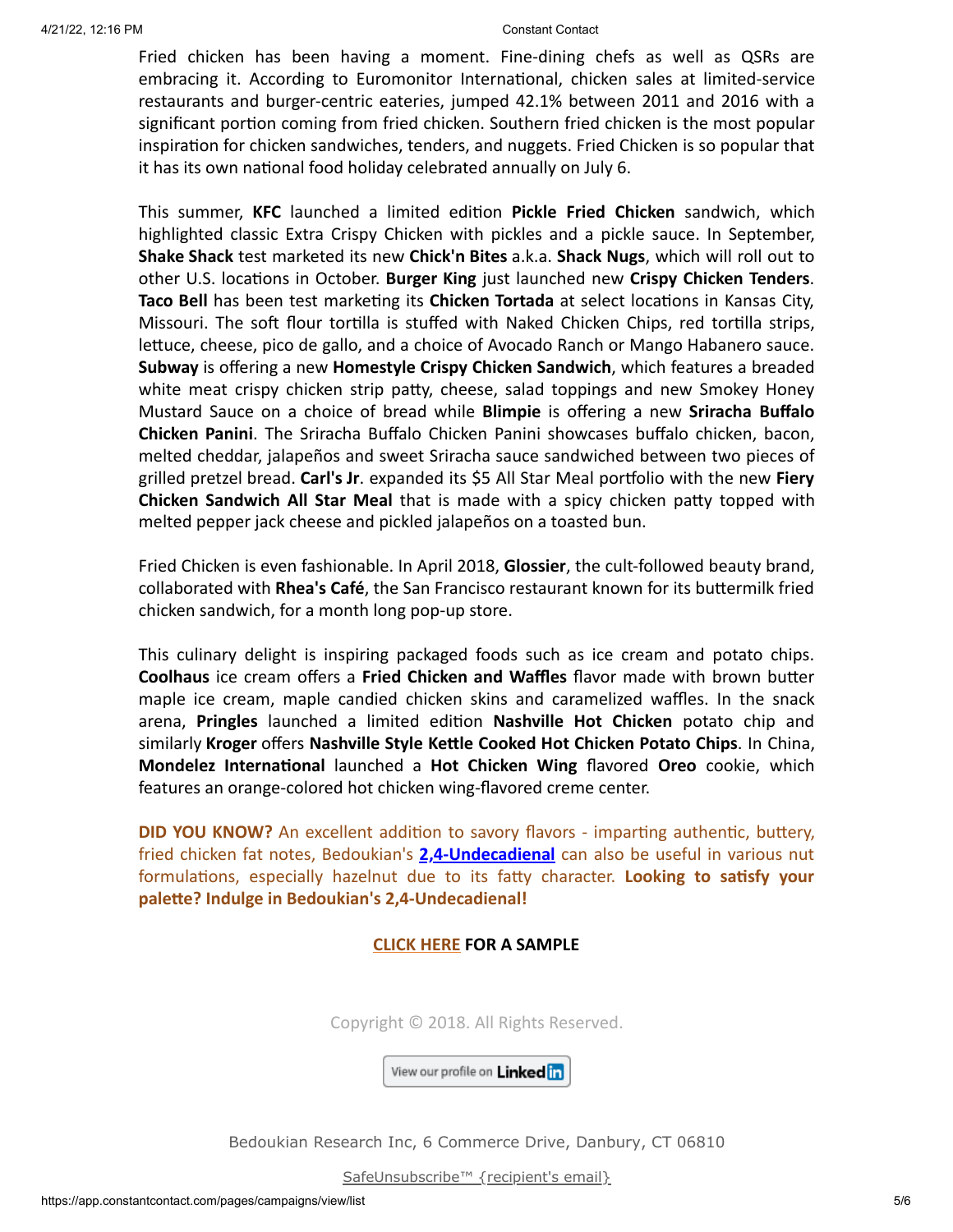Fried chicken has been having a moment. Fine-dining chefs as well as QSRs are embracing it. According to Euromonitor International, chicken sales at limited-service restaurants and burger-centric eateries, jumped 42.1% between 2011 and 2016 with a significant portion coming from fried chicken. Southern fried chicken is the most popular inspiration for chicken sandwiches, tenders, and nuggets. Fried Chicken is so popular that it has its own national food holiday celebrated annually on July 6.

This summer, **KFC** launched a limited edition **Pickle Fried Chicken** sandwich, which highlighted classic Extra Crispy Chicken with pickles and a pickle sauce. In September, **Shake Shack** test marketed its new **Chick'n Bites** a.k.a. **Shack Nugs**, which will roll out to other U.S. locations in October. **Burger King** just launched new **Crispy Chicken Tenders**. **Taco Bell** has been test marketing its **Chicken Tortada** at select locations in Kansas City, Missouri. The soft flour tortilla is stuffed with Naked Chicken Chips, red tortilla strips, lettuce, cheese, pico de gallo, and a choice of Avocado Ranch or Mango Habanero sauce. **Subway** is offering a new **Homestyle Crispy Chicken Sandwich**, which features a breaded white meat crispy chicken strip patty, cheese, salad toppings and new Smokey Honey Mustard Sauce on a choice of bread while **Blimpie** is offering a new **Sriracha Buffalo Chicken Panini**. The Sriracha Buffalo Chicken Panini showcases buffalo chicken, bacon, melted cheddar, jalapeños and sweet Sriracha sauce sandwiched between two pieces of grilled pretzel bread. **Carl's Jr**. expanded its \$5 All Star Meal portfolio with the new **Fiery Chicken Sandwich All Star Meal** that is made with a spicy chicken patty topped with melted pepper jack cheese and pickled jalapeños on a toasted bun.

Fried Chicken is even fashionable. In April 2018, **Glossier**, the cult-followed beauty brand, collaborated with **Rhea's Café**, the San Francisco restaurant known for its buttermilk fried chicken sandwich, for a month long pop-up store.

This culinary delight is inspiring packaged foods such as ice cream and potato chips. **Coolhaus** ice cream offers a **Fried Chicken and Waffles** flavor made with brown butter maple ice cream, maple candied chicken skins and caramelized waffles. In the snack arena, **Pringles** launched a limited edition **Nashville Hot Chicken** potato chip and similarly **Kroger** offers **Nashville Style Kettle Cooked Hot Chicken Potato Chips**. In China, **Mondelez International** launched a **Hot Chicken Wing** flavored **Oreo** cookie, which features an orange-colored hot chicken wing-flavored creme center.

**DID YOU KNOW?** An excellent addition to savory flavors - imparting authentic, buttery, fried chicken fat notes, Bedoukian's **[2,4-Undecadienal](https://search.bedoukian.com/flavorfragrance/ff_product.asp?method=POP&id=365)** can also be useful in various nut formulations, especially hazelnut due to its fatty character. **Looking to satisfy your palette? Indulge in Bedoukian's 2,4-Undecadienal!**

### **[CLICK HERE](mailto:customerservice@bedoukian.com?subject=Bedoukian%20Bulletin%20-%20Fall%202018&body=Hello%2C%0A%0AI%20would%20like%20to%20request%20free%20samples%20of%20each%20product%20advertised%20in%20the%20Fall%202018%20Bedoukian%20Bulletin!) FOR A SAMPLE**

Copyright © 2018. All Rights Reserved.

View our profile on Linked in

Bedoukian Research Inc, 6 Commerce Drive, Danbury, CT 06810

[SafeUnsubscribe™ {recipient's email}](https://visitor.constantcontact.com/do?p=un&mse=001tFro5SipzUfAgD5Xrz9EaDaRdFi9WZ0z&t=001KnNWZbvGTF-Iq2M-eiRwMw%3D%3D&id=001b-xBWU3VMkdAJ6tFcpkOcsifzWScXIdR&llr=o459zwsab)